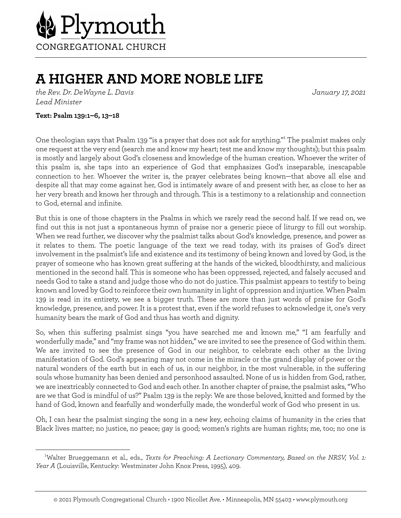

## **A HIGHER AND MORE NOBLE LIFE**

*the Rev. Dr. DeWayne L. Davis January 17, 2021 Lead Minister*

## **Text: Psalm 139:1–6, 13–18**

One theologian says that Psalm 139 "is a prayer that does not ask for anything."<sup>1</sup> The psalmist makes only one request at the very end (search me and know my heart; test me and know my thoughts); but this psalm is mostly and largely about God's closeness and knowledge of the human creation. Whoever the writer of this psalm is, she taps into an experience of God that emphasizes God's inseparable, inescapable connection to her. Whoever the writer is, the prayer celebrates being known—that above all else and despite all that may come against her, God is intimately aware of and present with her, as close to her as her very breath and knows her through and through. This is a testimony to a relationship and connection to God, eternal and infinite.

But this is one of those chapters in the Psalms in which we rarely read the second half. If we read on, we find out this is not just a spontaneous hymn of praise nor a generic piece of liturgy to fill out worship. When we read further, we discover why the psalmist talks about God's knowledge, presence, and power as it relates to them. The poetic language of the text we read today, with its praises of God's direct involvement in the psalmist's life and existence and its testimony of being known and loved by God, is the prayer of someone who has known great suffering at the hands of the wicked, bloodthirsty, and malicious mentioned in the second half. This is someone who has been oppressed, rejected, and falsely accused and needs God to take a stand and judge those who do not do justice. This psalmist appears to testify to being known and loved by God to reinforce their own humanity in light of oppression and injustice. When Psalm 139 is read in its entirety, we see a bigger truth. These are more than just words of praise for God's knowledge, presence, and power. It is a protest that, even if the world refuses to acknowledge it, one's very humanity bears the mark of God and thus has worth and dignity.

So, when this suffering psalmist sings "you have searched me and known me," "I am fearfully and wonderfully made," and "my frame was not hidden," we are invited to see the presence of God within them. We are invited to see the presence of God in our neighbor, to celebrate each other as the living manifestation of God. God's appearing may not come in the miracle or the grand display of power or the natural wonders of the earth but in each of us, in our neighbor, in the most vulnerable, in the suffering souls whose humanity has been denied and personhood assaulted. None of us is hidden from God, rather, we are inextricably connected to God and each other. In another chapter of praise, the psalmist asks, "Who are we that God is mindful of us?" Psalm 139 is the reply: We are those beloved, knitted and formed by the hand of God, known and fearfully and wonderfully made, the wonderful work of God who present in us.

Oh, I can hear the psalmist singing the song in a new key, echoing claims of humanity in the cries that Black lives matter; no justice, no peace; gay is good; women's rights are human rights; me, too; no one is

<sup>1</sup> Walter Brueggemann et al., eds., *Texts for Preaching: A Lectionary Commentary, Based on the NRSV, Vol. 1: Year A* (Louisville, Kentucky: Westminster John Knox Press, 1995), 409.